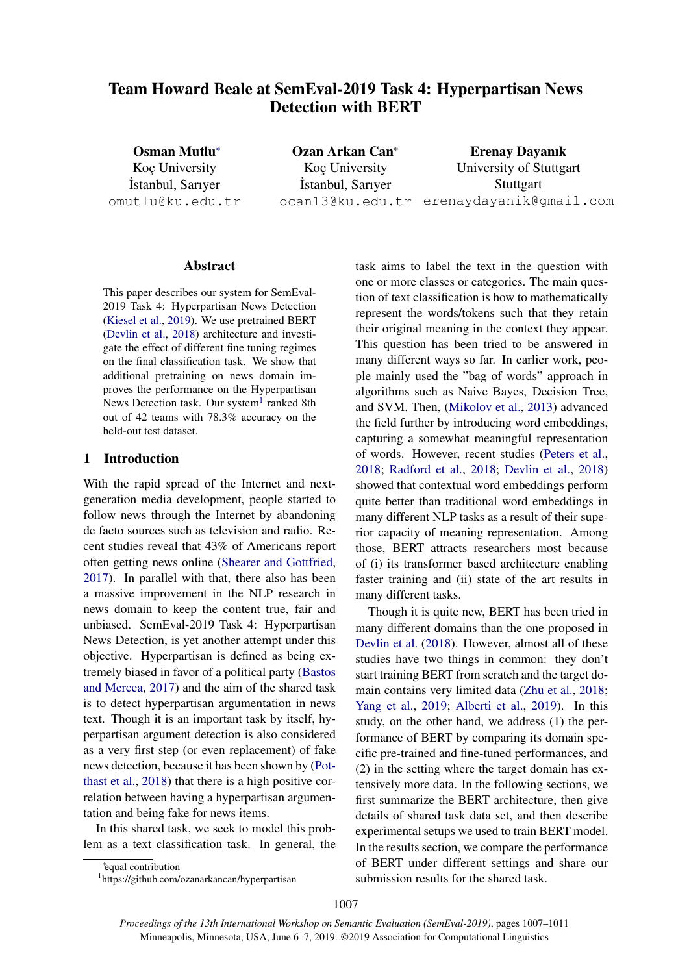# Team Howard Beale at SemEval-2019 Task 4: Hyperpartisan News Detection with BERT

Osman Mutlu<sup>∗</sup> Koc University ˙Istanbul, Sarıyer omutlu@ku.edu.tr

Ozan Arkan Can<sup>∗</sup> Koç University ˙Istanbul, Sarıyer ocan13@ku.edu.tr erenaydayanik@gmail.com Erenay Dayanık University of Stuttgart **Stuttgart** 

#### Abstract

This paper describes our system for SemEval-2019 Task 4: Hyperpartisan News Detection [\(Kiesel et al.,](#page-4-0) [2019\)](#page-4-0). We use pretrained BERT [\(Devlin et al.,](#page-4-1) [2018\)](#page-4-1) architecture and investigate the effect of different fine tuning regimes on the final classification task. We show that additional pretraining on news domain improves the performance on the Hyperpartisan News Detection task. Our system<sup>[1](#page-0-0)</sup> ranked 8th out of 42 teams with 78.3% accuracy on the held-out test dataset.

## 1 Introduction

With the rapid spread of the Internet and nextgeneration media development, people started to follow news through the Internet by abandoning de facto sources such as television and radio. Recent studies reveal that 43% of Americans report often getting news online [\(Shearer and Gottfried,](#page-4-2) [2017\)](#page-4-2). In parallel with that, there also has been a massive improvement in the NLP research in news domain to keep the content true, fair and unbiased. SemEval-2019 Task 4: Hyperpartisan News Detection, is yet another attempt under this objective. Hyperpartisan is defined as being extremely biased in favor of a political party [\(Bastos](#page-4-3) [and Mercea,](#page-4-3) [2017\)](#page-4-3) and the aim of the shared task is to detect hyperpartisan argumentation in news text. Though it is an important task by itself, hyperpartisan argument detection is also considered as a very first step (or even replacement) of fake news detection, because it has been shown by [\(Pot](#page-4-4)[thast et al.,](#page-4-4) [2018\)](#page-4-4) that there is a high positive correlation between having a hyperpartisan argumentation and being fake for news items.

In this shared task, we seek to model this problem as a text classification task. In general, the task aims to label the text in the question with one or more classes or categories. The main question of text classification is how to mathematically represent the words/tokens such that they retain their original meaning in the context they appear. This question has been tried to be answered in many different ways so far. In earlier work, people mainly used the "bag of words" approach in algorithms such as Naive Bayes, Decision Tree, and SVM. Then, [\(Mikolov et al.,](#page-4-5) [2013\)](#page-4-5) advanced the field further by introducing word embeddings, capturing a somewhat meaningful representation of words. However, recent studies [\(Peters et al.,](#page-4-6) [2018;](#page-4-6) [Radford et al.,](#page-4-7) [2018;](#page-4-7) [Devlin et al.,](#page-4-1) [2018\)](#page-4-1) showed that contextual word embeddings perform quite better than traditional word embeddings in many different NLP tasks as a result of their superior capacity of meaning representation. Among those, BERT attracts researchers most because of (i) its transformer based architecture enabling faster training and (ii) state of the art results in many different tasks.

Though it is quite new, BERT has been tried in many different domains than the one proposed in [Devlin et al.](#page-4-1) [\(2018\)](#page-4-1). However, almost all of these studies have two things in common: they don't start training BERT from scratch and the target domain contains very limited data [\(Zhu et al.,](#page-4-8) [2018;](#page-4-8) [Yang et al.,](#page-4-9) [2019;](#page-4-9) [Alberti et al.,](#page-4-10) [2019\)](#page-4-10). In this study, on the other hand, we address (1) the performance of BERT by comparing its domain specific pre-trained and fine-tuned performances, and (2) in the setting where the target domain has extensively more data. In the following sections, we first summarize the BERT architecture, then give details of shared task data set, and then describe experimental setups we used to train BERT model. In the results section, we compare the performance of BERT under different settings and share our submission results for the shared task.

∗ equal contribution

<span id="page-0-0"></span><sup>1</sup> https://github.com/ozanarkancan/hyperpartisan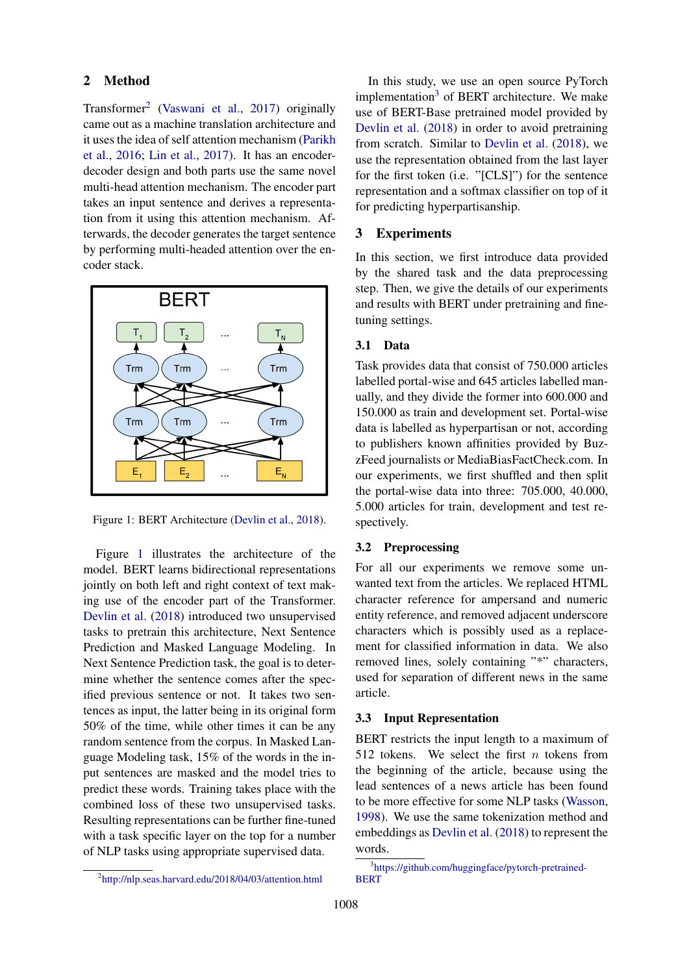## 2 Method

Transformer[2](#page-1-0) [\(Vaswani et al.,](#page-4-11) [2017\)](#page-4-11) originally came out as a machine translation architecture and it uses the idea of self attention mechanism [\(Parikh](#page-4-12) [et al.,](#page-4-12) [2016;](#page-4-12) [Lin et al.,](#page-4-13) [2017\)](#page-4-13). It has an encoderdecoder design and both parts use the same novel multi-head attention mechanism. The encoder part takes an input sentence and derives a representation from it using this attention mechanism. Afterwards, the decoder generates the target sentence by performing multi-headed attention over the encoder stack.



<span id="page-1-1"></span>Figure 1: BERT Architecture [\(Devlin et al.,](#page-4-1) [2018\)](#page-4-1).

Figure [1](#page-1-1) illustrates the architecture of the model. BERT learns bidirectional representations jointly on both left and right context of text making use of the encoder part of the Transformer. [Devlin et al.](#page-4-1) [\(2018\)](#page-4-1) introduced two unsupervised tasks to pretrain this architecture, Next Sentence Prediction and Masked Language Modeling. In Next Sentence Prediction task, the goal is to determine whether the sentence comes after the specified previous sentence or not. It takes two sentences as input, the latter being in its original form 50% of the time, while other times it can be any random sentence from the corpus. In Masked Language Modeling task, 15% of the words in the input sentences are masked and the model tries to predict these words. Training takes place with the combined loss of these two unsupervised tasks. Resulting representations can be further fine-tuned with a task specific layer on the top for a number of NLP tasks using appropriate supervised data.

In this study, we use an open source PyTorch implementation<sup>[3](#page-1-2)</sup> of BERT architecture. We make use of BERT-Base pretrained model provided by [Devlin et al.](#page-4-1) [\(2018\)](#page-4-1) in order to avoid pretraining from scratch. Similar to [Devlin et al.](#page-4-1) [\(2018\)](#page-4-1), we use the representation obtained from the last layer for the first token (i.e. "[CLS]") for the sentence representation and a softmax classifier on top of it for predicting hyperpartisanship.

## 3 Experiments

In this section, we first introduce data provided by the shared task and the data preprocessing step. Then, we give the details of our experiments and results with BERT under pretraining and finetuning settings.

#### 3.1 Data

Task provides data that consist of 750.000 articles labelled portal-wise and 645 articles labelled manually, and they divide the former into 600.000 and 150.000 as train and development set. Portal-wise data is labelled as hyperpartisan or not, according to publishers known affinities provided by BuzzFeed journalists or MediaBiasFactCheck.com. In our experiments, we first shuffled and then split the portal-wise data into three: 705.000, 40.000, 5.000 articles for train, development and test respectively.

#### 3.2 Preprocessing

For all our experiments we remove some unwanted text from the articles. We replaced HTML character reference for ampersand and numeric entity reference, and removed adjacent underscore characters which is possibly used as a replacement for classified information in data. We also removed lines, solely containing "\*" characters, used for separation of different news in the same article.

# 3.3 Input Representation

BERT restricts the input length to a maximum of 512 tokens. We select the first  $n$  tokens from the beginning of the article, because using the lead sentences of a news article has been found to be more effective for some NLP tasks [\(Wasson,](#page-4-14) [1998\)](#page-4-14). We use the same tokenization method and embeddings as [Devlin et al.](#page-4-1) [\(2018\)](#page-4-1) to represent the words.

<span id="page-1-0"></span><sup>2</sup> <http://nlp.seas.harvard.edu/2018/04/03/attention.html>

<span id="page-1-2"></span><sup>3</sup> [https://github.com/huggingface/pytorch-pretrained-](https://github.com/huggingface/pytorch-pretrained-BERT)**[BERT](https://github.com/huggingface/pytorch-pretrained-BERT)**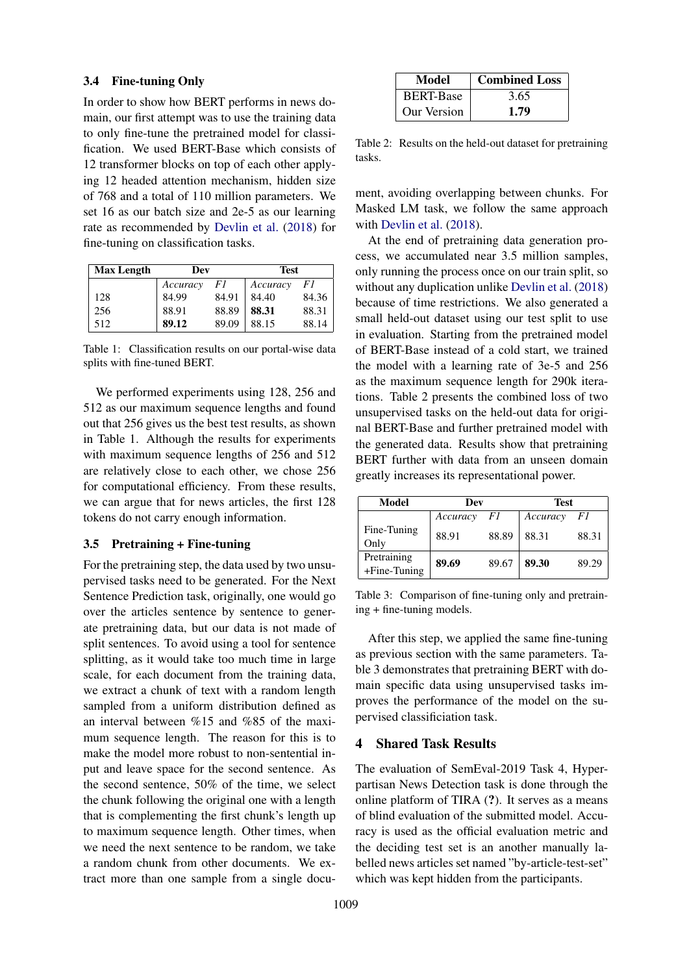## 3.4 Fine-tuning Only

In order to show how BERT performs in news domain, our first attempt was to use the training data to only fine-tune the pretrained model for classification. We used BERT-Base which consists of 12 transformer blocks on top of each other applying 12 headed attention mechanism, hidden size of 768 and a total of 110 million parameters. We set 16 as our batch size and 2e-5 as our learning rate as recommended by [Devlin et al.](#page-4-1) [\(2018\)](#page-4-1) for fine-tuning on classification tasks.

| <b>Max Length</b> | Dev      |       | Test     |       |  |
|-------------------|----------|-------|----------|-------|--|
|                   | Accuracy | F1    | Accuracy | F1    |  |
| 128               | 84.99    | 84.91 | 84.40    | 84.36 |  |
| 256               | 88.91    | 88.89 | 88.31    | 88.31 |  |
| 512               | 89.12    | 89.09 | 88.15    | 88.14 |  |

Table 1: Classification results on our portal-wise data splits with fine-tuned BERT.

We performed experiments using 128, 256 and 512 as our maximum sequence lengths and found out that 256 gives us the best test results, as shown in Table 1. Although the results for experiments with maximum sequence lengths of 256 and 512 are relatively close to each other, we chose 256 for computational efficiency. From these results, we can argue that for news articles, the first 128 tokens do not carry enough information.

#### 3.5 Pretraining + Fine-tuning

For the pretraining step, the data used by two unsupervised tasks need to be generated. For the Next Sentence Prediction task, originally, one would go over the articles sentence by sentence to generate pretraining data, but our data is not made of split sentences. To avoid using a tool for sentence splitting, as it would take too much time in large scale, for each document from the training data, we extract a chunk of text with a random length sampled from a uniform distribution defined as an interval between %15 and %85 of the maximum sequence length. The reason for this is to make the model more robust to non-sentential input and leave space for the second sentence. As the second sentence, 50% of the time, we select the chunk following the original one with a length that is complementing the first chunk's length up to maximum sequence length. Other times, when we need the next sentence to be random, we take a random chunk from other documents. We extract more than one sample from a single docu-

| Model            | <b>Combined Loss</b> |
|------------------|----------------------|
| <b>BERT-Base</b> | 3.65                 |
| Our Version      | 1.79                 |

Table 2: Results on the held-out dataset for pretraining tasks.

ment, avoiding overlapping between chunks. For Masked LM task, we follow the same approach with [Devlin et al.](#page-4-1) [\(2018\)](#page-4-1).

At the end of pretraining data generation process, we accumulated near 3.5 million samples, only running the process once on our train split, so without any duplication unlike [Devlin et al.](#page-4-1) [\(2018\)](#page-4-1) because of time restrictions. We also generated a small held-out dataset using our test split to use in evaluation. Starting from the pretrained model of BERT-Base instead of a cold start, we trained the model with a learning rate of 3e-5 and 256 as the maximum sequence length for 290k iterations. Table 2 presents the combined loss of two unsupervised tasks on the held-out data for original BERT-Base and further pretrained model with the generated data. Results show that pretraining BERT further with data from an unseen domain greatly increases its representational power.

| Model                          | Dev      |       | <b>Test</b> |       |  |
|--------------------------------|----------|-------|-------------|-------|--|
|                                | Accuracy | F1    | Accuracy    | F1    |  |
| Fine-Tuning<br>Only            | 88.91    | 88.89 | 88.31       | 88.31 |  |
| Pretraining<br>$+$ Fine-Tuning | 89.69    | 89.67 | 89.30       | 89.29 |  |

Table 3: Comparison of fine-tuning only and pretraining + fine-tuning models.

After this step, we applied the same fine-tuning as previous section with the same parameters. Table 3 demonstrates that pretraining BERT with domain specific data using unsupervised tasks improves the performance of the model on the supervised classificiation task.

# 4 Shared Task Results

The evaluation of SemEval-2019 Task 4, Hyperpartisan News Detection task is done through the online platform of TIRA (?). It serves as a means of blind evaluation of the submitted model. Accuracy is used as the official evaluation metric and the deciding test set is an another manually labelled news articles set named "by-article-test-set" which was kept hidden from the participants.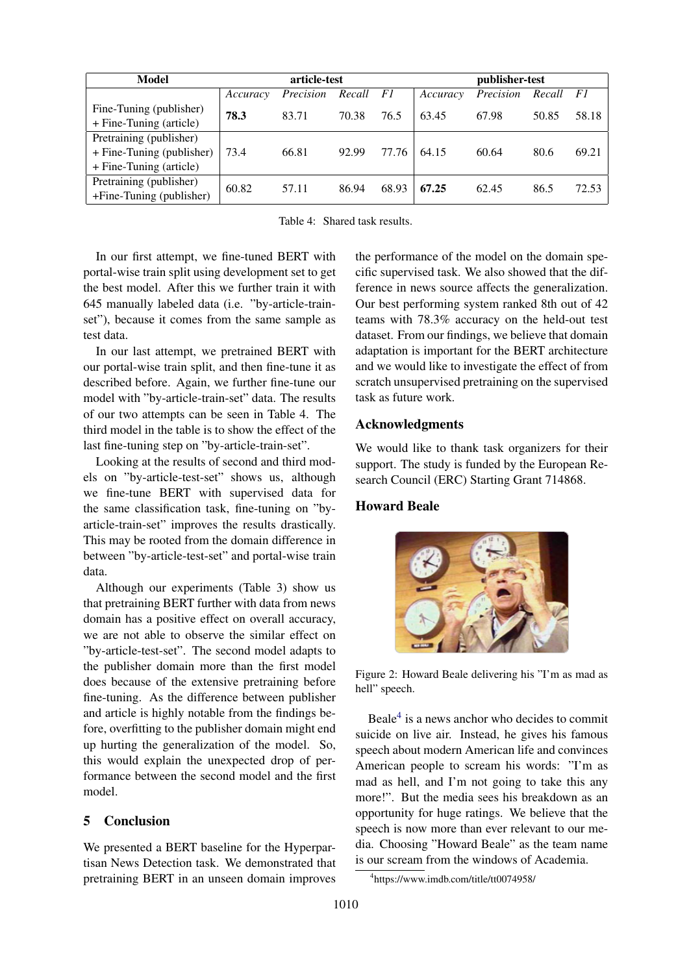| Model                                                                           | article-test |           |        | publisher-test |          |           |           |       |
|---------------------------------------------------------------------------------|--------------|-----------|--------|----------------|----------|-----------|-----------|-------|
|                                                                                 | Accuracy     | Precision | Recall | F1             | Accuracy | Precision | Recall F1 |       |
| Fine-Tuning (publisher)<br>+ Fine-Tuning (article)                              | 78.3         | 83.71     | 70.38  | 76.5           | 63.45    | 67.98     | 50.85     | 58.18 |
| Pretraining (publisher)<br>+ Fine-Tuning (publisher)<br>+ Fine-Tuning (article) | 73.4         | 66.81     | 92.99  | 77.76          | 64.15    | 60.64     | 80.6      | 69.21 |
| Pretraining (publisher)<br>+Fine-Tuning (publisher)                             | 60.82        | 57.11     | 86.94  | 68.93          | 67.25    | 62.45     | 86.5      | 72.53 |

Table 4: Shared task results.

In our first attempt, we fine-tuned BERT with portal-wise train split using development set to get the best model. After this we further train it with 645 manually labeled data (i.e. "by-article-trainset"), because it comes from the same sample as test data.

In our last attempt, we pretrained BERT with our portal-wise train split, and then fine-tune it as described before. Again, we further fine-tune our model with "by-article-train-set" data. The results of our two attempts can be seen in Table 4. The third model in the table is to show the effect of the last fine-tuning step on "by-article-train-set".

Looking at the results of second and third models on "by-article-test-set" shows us, although we fine-tune BERT with supervised data for the same classification task, fine-tuning on "byarticle-train-set" improves the results drastically. This may be rooted from the domain difference in between "by-article-test-set" and portal-wise train data.

Although our experiments (Table 3) show us that pretraining BERT further with data from news domain has a positive effect on overall accuracy, we are not able to observe the similar effect on "by-article-test-set". The second model adapts to the publisher domain more than the first model does because of the extensive pretraining before fine-tuning. As the difference between publisher and article is highly notable from the findings before, overfitting to the publisher domain might end up hurting the generalization of the model. So, this would explain the unexpected drop of performance between the second model and the first model.

# 5 Conclusion

We presented a BERT baseline for the Hyperpartisan News Detection task. We demonstrated that pretraining BERT in an unseen domain improves

the performance of the model on the domain specific supervised task. We also showed that the difference in news source affects the generalization. Our best performing system ranked 8th out of 42 teams with 78.3% accuracy on the held-out test dataset. From our findings, we believe that domain adaptation is important for the BERT architecture and we would like to investigate the effect of from scratch unsupervised pretraining on the supervised task as future work.

# Acknowledgments

We would like to thank task organizers for their support. The study is funded by the European Research Council (ERC) Starting Grant 714868.

## Howard Beale



Figure 2: Howard Beale delivering his "I'm as mad as hell" speech.

Beale[4](#page-3-0) is a news anchor who decides to commit suicide on live air. Instead, he gives his famous speech about modern American life and convinces American people to scream his words: "I'm as mad as hell, and I'm not going to take this any more!". But the media sees his breakdown as an opportunity for huge ratings. We believe that the speech is now more than ever relevant to our media. Choosing "Howard Beale" as the team name is our scream from the windows of Academia.

<span id="page-3-0"></span><sup>4</sup> https://www.imdb.com/title/tt0074958/